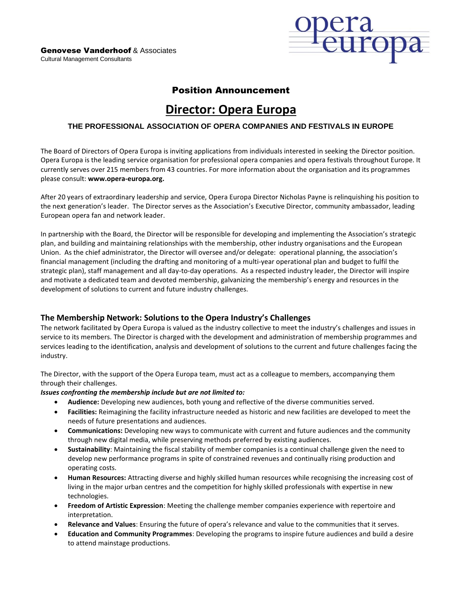

## Position Announcement

# **Director: Opera Europa**

## **THE PROFESSIONAL ASSOCIATION OF OPERA COMPANIES AND FESTIVALS IN EUROPE**

The Board of Directors of Opera Europa is inviting applications from individuals interested in seeking the Director position. Opera Europa is the leading service organisation for professional opera companies and opera festivals throughout Europe. It currently serves over 215 members from 43 countries. For more information about the organisation and its programmes please consult: **www.opera-europa.org.**

After 20 years of extraordinary leadership and service, Opera Europa Director Nicholas Payne is relinquishing his position to the next generation's leader. The Director serves as the Association's Executive Director, community ambassador, leading European opera fan and network leader.

In partnership with the Board, the Director will be responsible for developing and implementing the Association's strategic plan, and building and maintaining relationships with the membership, other industry organisations and the European Union. As the chief administrator, the Director will oversee and/or delegate: operational planning, the association's financial management (including the drafting and monitoring of a multi-year operational plan and budget to fulfil the strategic plan), staff management and all day-to-day operations. As a respected industry leader, the Director will inspire and motivate a dedicated team and devoted membership, galvanizing the membership's energy and resources in the development of solutions to current and future industry challenges.

## **The Membership Network: Solutions to the Opera Industry's Challenges**

The network facilitated by Opera Europa is valued as the industry collective to meet the industry's challenges and issues in service to its members. The Director is charged with the development and administration of membership programmes and services leading to the identification, analysis and development of solutions to the current and future challenges facing the industry.

The Director, with the support of the Opera Europa team, must act as a colleague to members, accompanying them through their challenges.

#### *Issues confronting the membership include but are not limited to:*

- **Audience:** Developing new audiences, both young and reflective of the diverse communities served.
- **Facilities:** Reimagining the facility infrastructure needed as historic and new facilities are developed to meet the needs of future presentations and audiences.
- **Communications:** Developing new ways to communicate with current and future audiences and the community through new digital media, while preserving methods preferred by existing audiences.
- **Sustainability**: Maintaining the fiscal stability of member companies is a continual challenge given the need to develop new performance programs in spite of constrained revenues and continually rising production and operating costs.
- **Human Resources:** Attracting diverse and highly skilled human resources while recognising the increasing cost of living in the major urban centres and the competition for highly skilled professionals with expertise in new technologies.
- **Freedom of Artistic Expression**: Meeting the challenge member companies experience with repertoire and interpretation.
- **Relevance and Values**: Ensuring the future of opera's relevance and value to the communities that it serves.
- **Education and Community Programmes**: Developing the programs to inspire future audiences and build a desire to attend mainstage productions.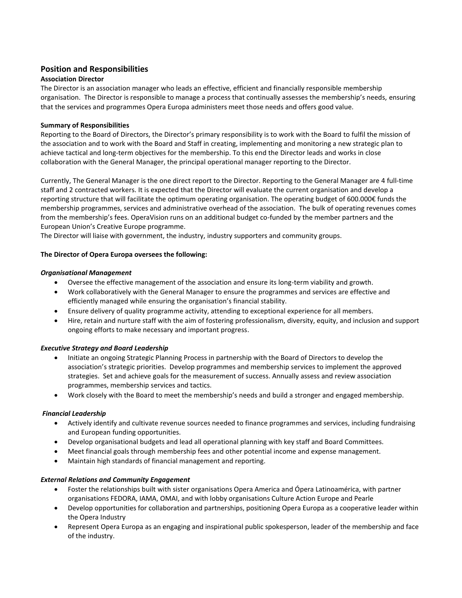## **Position and Responsibilities**

## **Association Director**

The Director is an association manager who leads an effective, efficient and financially responsible membership organisation. The Director is responsible to manage a process that continually assesses the membership's needs, ensuring that the services and programmes Opera Europa administers meet those needs and offers good value.

## **Summary of Responsibilities**

Reporting to the Board of Directors, the Director's primary responsibility is to work with the Board to fulfil the mission of the association and to work with the Board and Staff in creating, implementing and monitoring a new strategic plan to achieve tactical and long-term objectives for the membership. To this end the Director leads and works in close collaboration with the General Manager, the principal operational manager reporting to the Director.

Currently, The General Manager is the one direct report to the Director. Reporting to the General Manager are 4 full-time staff and 2 contracted workers. It is expected that the Director will evaluate the current organisation and develop a reporting structure that will facilitate the optimum operating organisation. The operating budget of 600.000€ funds the membership programmes, services and administrative overhead of the association. The bulk of operating revenues comes from the membership's fees. OperaVision runs on an additional budget co-funded by the member partners and the European Union's Creative Europe programme.

The Director will liaise with government, the industry, industry supporters and community groups.

## **The Director of Opera Europa oversees the following:**

#### *Organisational Management*

- Oversee the effective management of the association and ensure its long-term viability and growth.
- Work collaboratively with the General Manager to ensure the programmes and services are effective and efficiently managed while ensuring the organisation's financial stability.
- Ensure delivery of quality programme activity, attending to exceptional experience for all members.
- Hire, retain and nurture staff with the aim of fostering professionalism, diversity, equity, and inclusion and support ongoing efforts to make necessary and important progress.

#### *Executive Strategy and Board Leadership*

- Initiate an ongoing Strategic Planning Process in partnership with the Board of Directors to develop the association's strategic priorities. Develop programmes and membership services to implement the approved strategies. Set and achieve goals for the measurement of success. Annually assess and review association programmes, membership services and tactics.
- Work closely with the Board to meet the membership's needs and build a stronger and engaged membership.

#### *Financial Leadership*

- Actively identify and cultivate revenue sources needed to finance programmes and services, including fundraising and European funding opportunities.
- Develop organisational budgets and lead all operational planning with key staff and Board Committees.
- Meet financial goals through membership fees and other potential income and expense management.
- Maintain high standards of financial management and reporting.

#### *External Relations and Community Engagement*

- Foster the relationships built with sister organisations Opera America and Ópera Latinoamérica, with partner organisations FEDORA, IAMA, OMAI, and with lobby organisations Culture Action Europe and Pearle
- Develop opportunities for collaboration and partnerships, positioning Opera Europa as a cooperative leader within the Opera Industry
- Represent Opera Europa as an engaging and inspirational public spokesperson, leader of the membership and face of the industry.